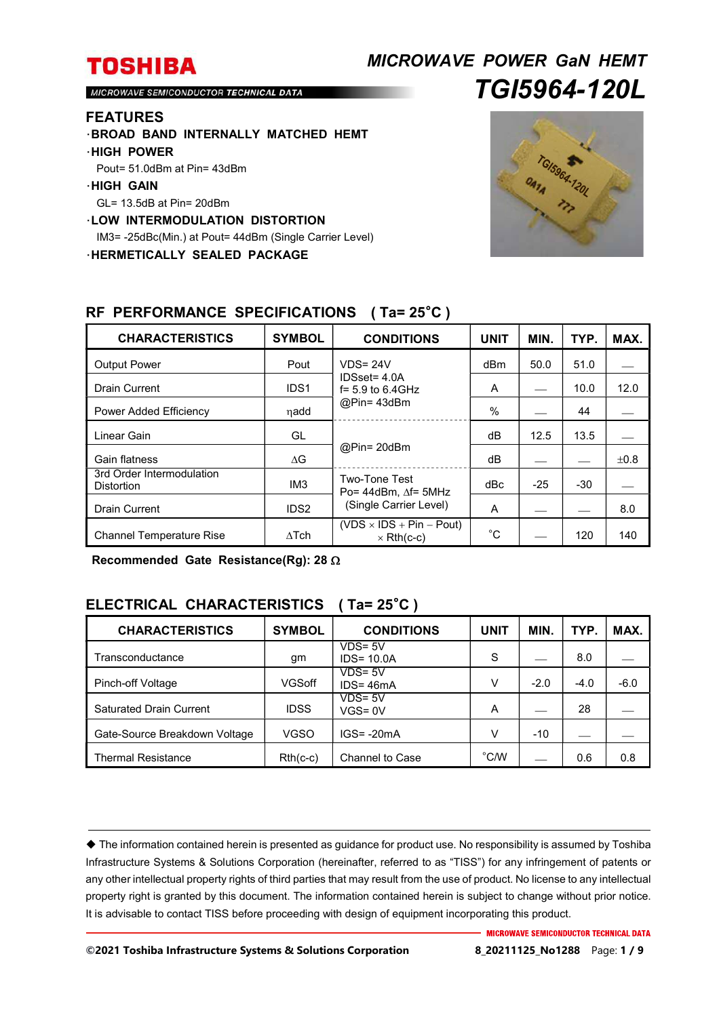# *MICROWAVE POWER GaN HEMT TGI5964-120L*

MICROWAVE SEMICONDUCTOR TECHNICAL DATA

#### **FEATURES**

- ・**BROAD BAND INTERNALLY MATCHED HEMT**
- ・**HIGH POWER**
- Pout= 51.0dBm at Pin= 43dBm
- ・**HIGH GAIN**
- GL= 13.5dB at Pin= 20dBm
- ・**LOW INTERMODULATION DISTORTION**
- IM3= -25dBc(Min.) at Pout= 44dBm (Single Carrier Level)

・**HERMETICALLY SEALED PACKAGE** 



| <b>CHARACTERISTICS</b>                         | <b>SYMBOL</b>    | <b>CONDITIONS</b>                                                  | <b>UNIT</b> | MIN.  | TYP.  | MAX. |
|------------------------------------------------|------------------|--------------------------------------------------------------------|-------------|-------|-------|------|
| <b>Output Power</b>                            | Pout             | $VDS = 24V$<br>IDSset= 4.0A<br>$f = 5.9$ to 6.4GHz<br>$@Pin=43dBm$ | dBm         | 50.0  | 51.0  |      |
| <b>Drain Current</b>                           | IDS <sub>1</sub> |                                                                    | A           |       | 10.0  | 12.0 |
| Power Added Efficiency                         | nadd             |                                                                    | $\%$        |       | 44    |      |
| Linear Gain                                    | GL               | @Pin= 20dBm                                                        | dВ          | 12.5  | 13.5  |      |
| Gain flatness                                  | $\Delta G$       |                                                                    | dB          |       |       | ±0.8 |
| 3rd Order Intermodulation<br><b>Distortion</b> | IM <sub>3</sub>  | Two-Tone Test<br>Po= $44$ dBm. $\Delta f$ = 5MHz                   | dBc         | $-25$ | $-30$ |      |
| <b>Drain Current</b>                           | IDS <sub>2</sub> | (Single Carrier Level)                                             | A           |       |       | 8.0  |
| <b>Channel Temperature Rise</b>                | $\Lambda$ Tch    | $(VDS \times IDs + Pin - Pout)$<br>$\times$ Rth(c-c)               | $^{\circ}C$ |       | 120   | 140  |

### **RF PERFORMANCE SPECIFICATIONS ( Ta= 25**°**C )**

**Recommended Gate Resistance(Rg): 28** 

### **ELECTRICAL CHARACTERISTICS ( Ta= 25**°**C )**

| <b>CHARACTERISTICS</b>         | <b>SYMBOL</b> | <b>CONDITIONS</b>           | <b>UNIT</b>    | <b>MIN</b> | TYP.   | MAX.   |
|--------------------------------|---------------|-----------------------------|----------------|------------|--------|--------|
| Transconductance               | gm            | $VDS = 5V$<br>$IDS = 10.0A$ | S              |            | 8.0    |        |
| Pinch-off Voltage              | <b>VGSoff</b> | $VDS = 5V$<br>$IDS = 46mA$  | v              | $-2.0$     | $-4.0$ | $-6.0$ |
| <b>Saturated Drain Current</b> | <b>IDSS</b>   | $VDS = 5V$<br>$VGS = 0V$    | A              |            | 28     |        |
| Gate-Source Breakdown Voltage  | <b>VGSO</b>   | $IGS = -20mA$               | v              | $-10$      |        |        |
| <b>Thermal Resistance</b>      | $Rth(c-c)$    | <b>Channel to Case</b>      | $^{\circ}$ C/W |            | 0.6    | 0.8    |

 The information contained herein is presented as guidance for product use. No responsibility is assumed by Toshiba Infrastructure Systems & Solutions Corporation (hereinafter, referred to as "TISS") for any infringement of patents or any other intellectual property rights of third parties that may result from the use of product. No license to any intellectual property right is granted by this document. The information contained herein is subject to change without prior notice. It is advisable to contact TISS before proceeding with design of equipment incorporating this product.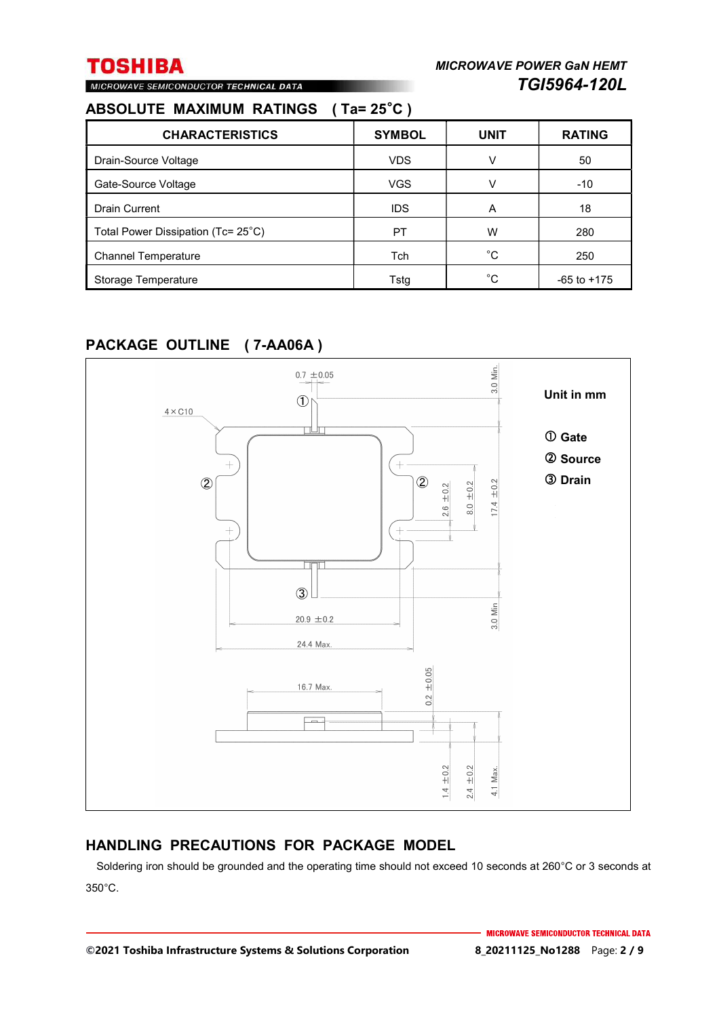# MICROWAVE SEMICONDUCTOR TECHNICAL DATA

### **ABSOLUTE MAXIMUM RATINGS ( Ta= 25**°**C )**

| <b>CHARACTERISTICS</b>             | <b>SYMBOL</b> | <b>UNIT</b> | <b>RATING</b>   |
|------------------------------------|---------------|-------------|-----------------|
| Drain-Source Voltage               | <b>VDS</b>    | v           | 50              |
| Gate-Source Voltage                | <b>VGS</b>    | v           | $-10$           |
| <b>Drain Current</b>               | <b>IDS</b>    | A           | 18              |
| Total Power Dissipation (Tc= 25°C) | PT            | w           | 280             |
| <b>Channel Temperature</b>         | Tch           | $^{\circ}C$ | 250             |
| Storage Temperature                | Tsta          | °C          | $-65$ to $+175$ |

### **PACKAGE OUTLINE ( 7-AA06A )**



### **HANDLING PRECAUTIONS FOR PACKAGE MODEL**

Soldering iron should be grounded and the operating time should not exceed 10 seconds at 260°C or 3 seconds at 350°C.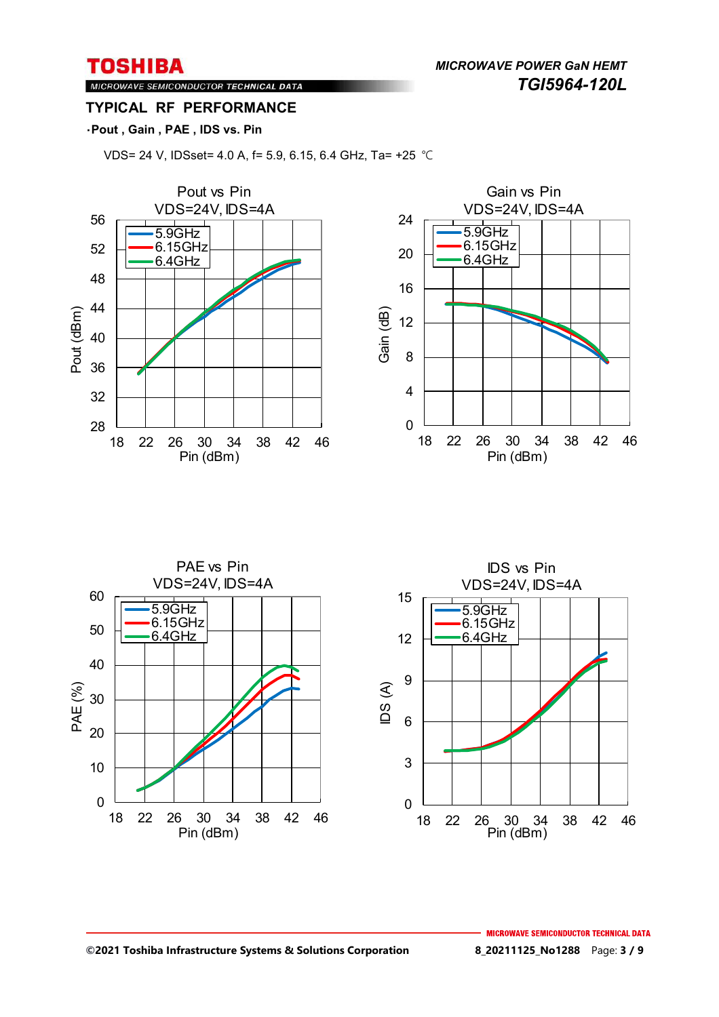*MICROWAVE POWER GaN HEMT TGI5964-120L* 

MICROWAVE SEMICONDUCTOR TECHNICAL DATA **TYPICAL RF PERFORMANCE** 

### ・**Pout , Gain , PAE , IDS vs. Pin**

VDS= 24 V, IDSset= 4.0 A, f= 5.9, 6.15, 6.4 GHz, Ta= +25 ℃





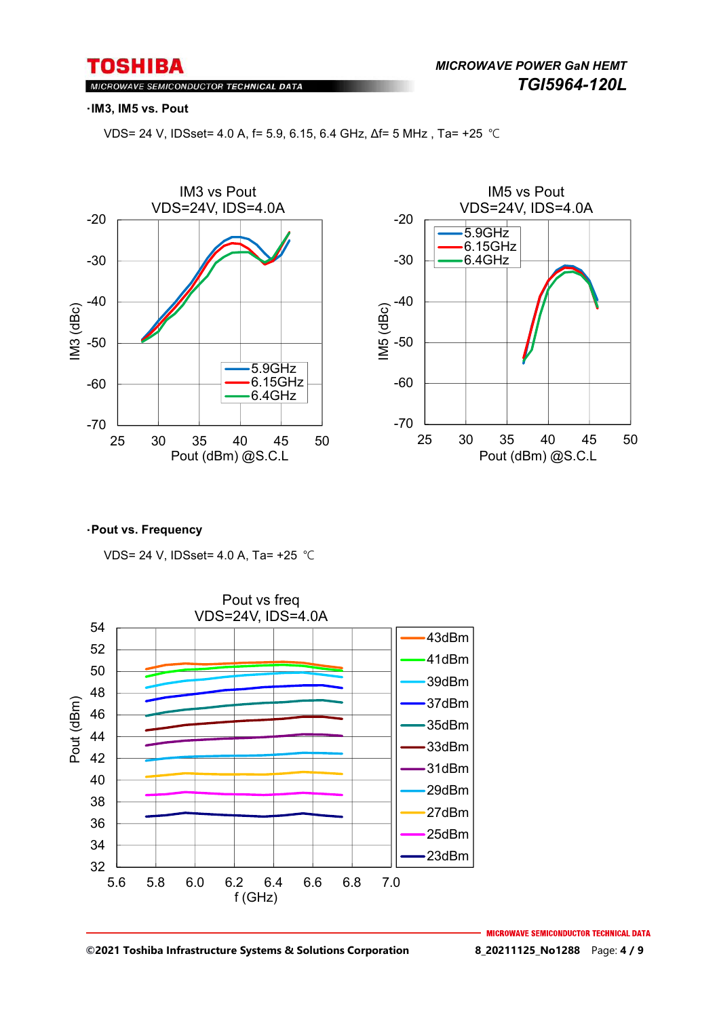MICROWAVE SEMICONDUCTOR TECHNICAL DATA

#### ・**IM3, IM5 vs. Pout**

VDS= 24 V, IDSset= 4.0 A, f= 5.9, 6.15, 6.4 GHz, Δf= 5 MHz , Ta= +25 ℃





#### ・**Pout vs. Frequency**

VDS= 24 V, IDSset= 4.0 A, Ta= +25 ℃



**©2021 Toshiba Infrastructure Systems & Solutions Corporation 8\_20211125\_No1288** Page: **4 / 9**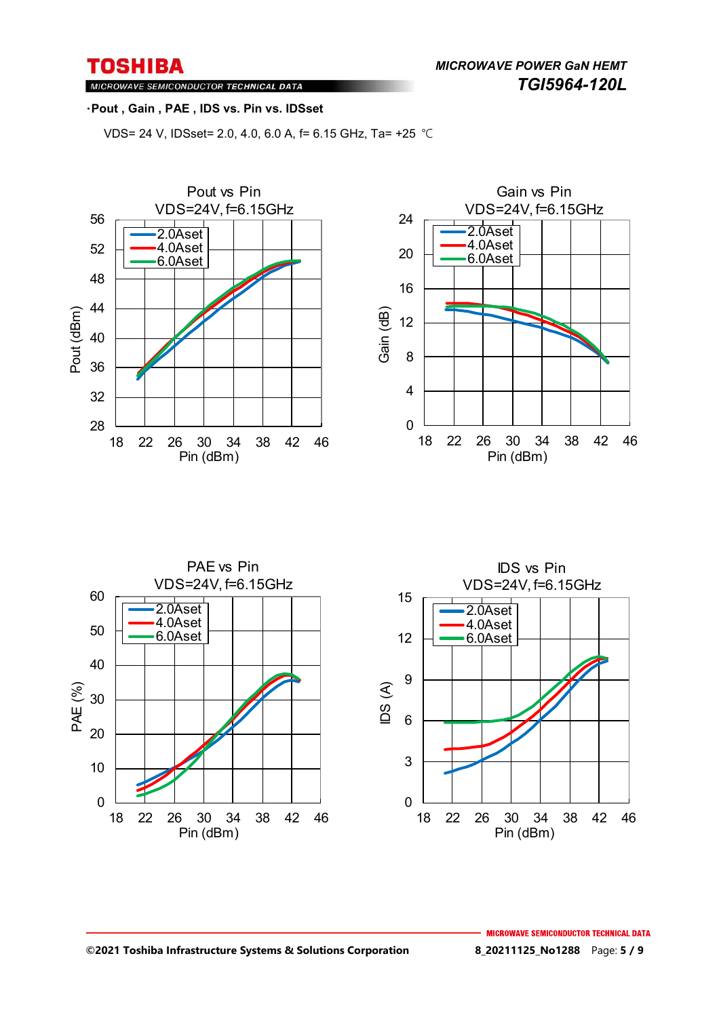*MICROWAVE POWER GaN HEMT TGI5964-120L* 

MICROWAVE SEMICONDUCTOR TECHNICAL DATA

#### ・**Pout , Gain , PAE , IDS vs. Pin vs. IDSset**

VDS= 24 V, IDSset= 2.0, 4.0, 6.0 A, f= 6.15 GHz, Ta= +25 ℃





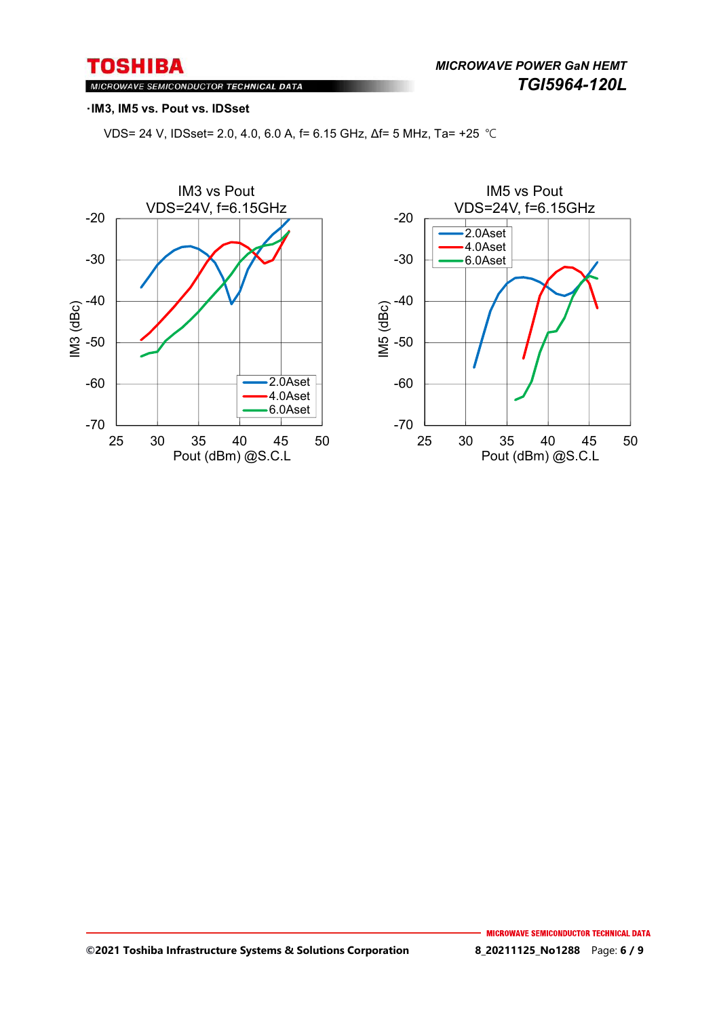MICROWAVE SEMICONDUCTOR TECHNICAL DATA

#### ・**IM3, IM5 vs. Pout vs. IDSset**

VDS= 24 V, IDSset= 2.0, 4.0, 6.0 A, f= 6.15 GHz, Δf= 5 MHz, Ta= +25 ℃



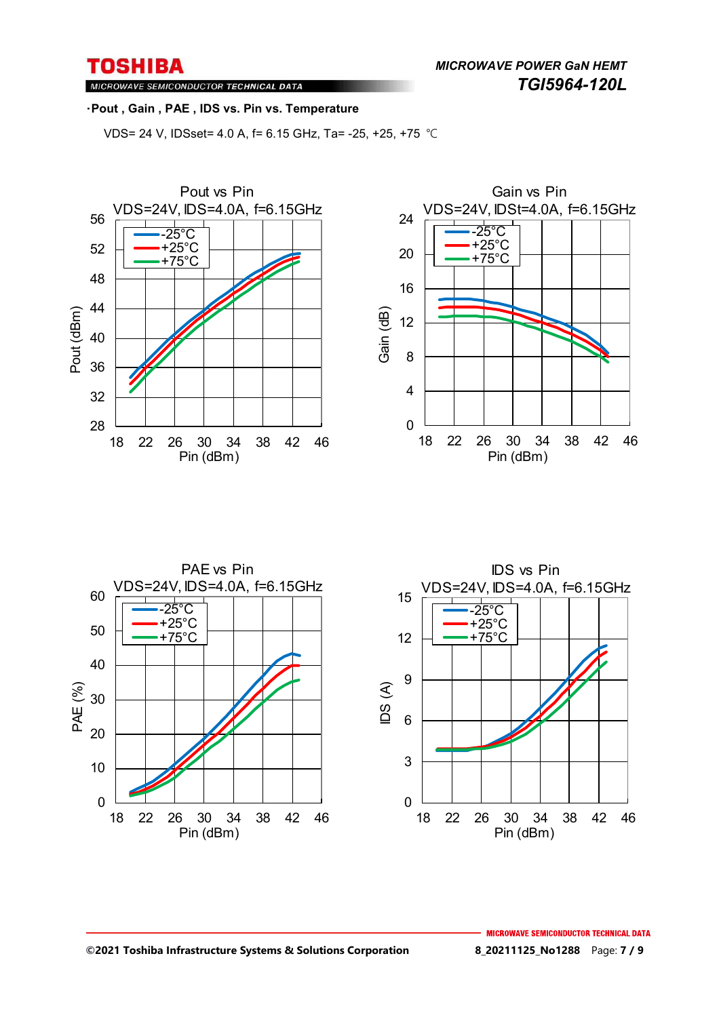MICROWAVE SEMICONDUCTOR TECHNICAL DATA

#### ・**Pout , Gain , PAE , IDS vs. Pin vs. Temperature**

VDS= 24 V, IDSset= 4.0 A, f= 6.15 GHz, Ta= -25, +25, +75 ℃







#### **©2021 Toshiba Infrastructure Systems & Solutions Corporation 8\_20211125\_No1288** Page: **7 / 9**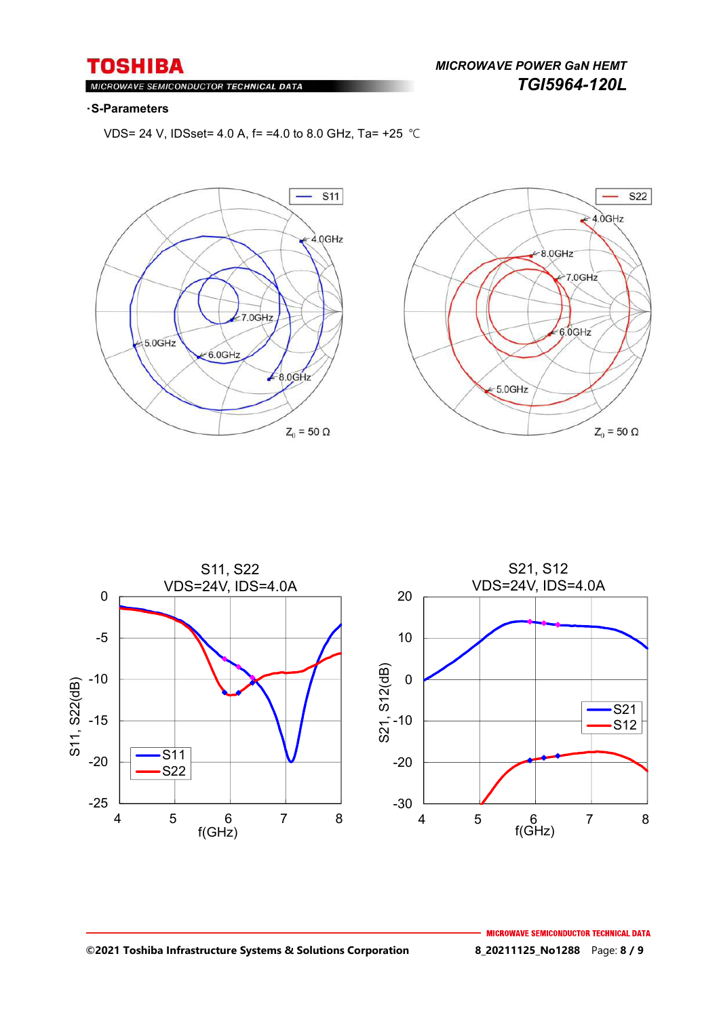*MICROWAVE POWER GaN HEMT TGI5964-120L* 

#### $Ml$ ROWAVE SEMICONDUCTOR TECHNICAL DATA

#### ・**S-Parameters**

VDS= 24 V, IDSset= 4.0 A, f= =4.0 to 8.0 GHz, Ta= +25 ℃







#### **©2021 Toshiba Infrastructure Systems & Solutions Corporation 8\_20211125\_No1288** Page: **8 / 9**